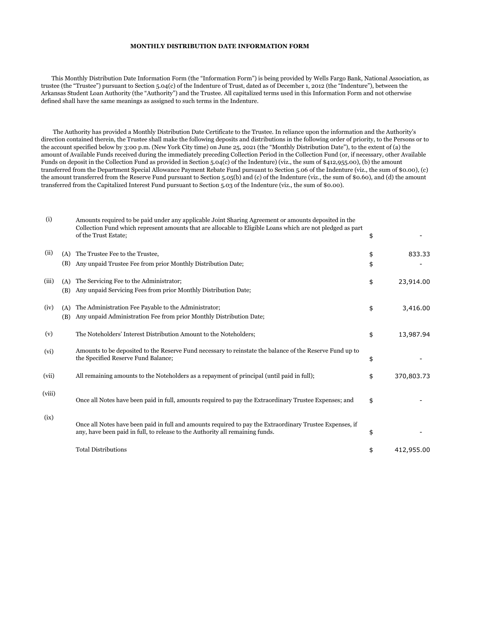## **MONTHLY DISTRIBUTION DATE INFORMATION FORM**

 This Monthly Distribution Date Information Form (the "Information Form") is being provided by Wells Fargo Bank, National Association, as trustee (the "Trustee") pursuant to Section 5.04(c) of the Indenture of Trust, dated as of December 1, 2012 (the "Indenture"), between the Arkansas Student Loan Authority (the "Authority") and the Trustee. All capitalized terms used in this Information Form and not otherwise defined shall have the same meanings as assigned to such terms in the Indenture.

 The Authority has provided a Monthly Distribution Date Certificate to the Trustee. In reliance upon the information and the Authority's direction contained therein, the Trustee shall make the following deposits and distributions in the following order of priority, to the Persons or to the account specified below by 3:00 p.m. (New York City time) on June 25, 2021 (the "Monthly Distribution Date"), to the extent of (a) the amount of Available Funds received during the immediately preceding Collection Period in the Collection Fund (or, if necessary, other Available Funds on deposit in the Collection Fund as provided in Section 5.04(c) of the Indenture) (viz., the sum of \$412,955.00), (b) the amount transferred from the Department Special Allowance Payment Rebate Fund pursuant to Section 5.06 of the Indenture (viz., the sum of \$0.00), (c) the amount transferred from the Reserve Fund pursuant to Section 5.05(b) and (c) of the Indenture (viz., the sum of \$0.60), and (d) the amount transferred from the Capitalized Interest Fund pursuant to Section 5.03 of the Indenture (viz., the sum of \$0.00).

| (i)    |            | Amounts required to be paid under any applicable Joint Sharing Agreement or amounts deposited in the<br>Collection Fund which represent amounts that are allocable to Eligible Loans which are not pledged as part<br>of the Trust Estate; | \$       |            |
|--------|------------|--------------------------------------------------------------------------------------------------------------------------------------------------------------------------------------------------------------------------------------------|----------|------------|
| (ii)   | (A)<br>(B) | The Trustee Fee to the Trustee,<br>Any unpaid Trustee Fee from prior Monthly Distribution Date;                                                                                                                                            | \$<br>\$ | 833.33     |
| (iii)  | (A)<br>(B) | The Servicing Fee to the Administrator;<br>Any unpaid Servicing Fees from prior Monthly Distribution Date;                                                                                                                                 | \$       | 23,914.00  |
| (iv)   | (A)<br>(B) | The Administration Fee Payable to the Administrator;<br>Any unpaid Administration Fee from prior Monthly Distribution Date;                                                                                                                | \$       | 3,416.00   |
| (v)    |            | The Noteholders' Interest Distribution Amount to the Noteholders;                                                                                                                                                                          | \$       | 13,987.94  |
| (vi)   |            | Amounts to be deposited to the Reserve Fund necessary to reinstate the balance of the Reserve Fund up to<br>the Specified Reserve Fund Balance;                                                                                            | \$       |            |
| (vii)  |            | All remaining amounts to the Noteholders as a repayment of principal (until paid in full);                                                                                                                                                 | \$       | 370,803.73 |
| (viii) |            | Once all Notes have been paid in full, amounts required to pay the Extraordinary Trustee Expenses; and                                                                                                                                     | \$       |            |
| (ix)   |            | Once all Notes have been paid in full and amounts required to pay the Extraordinary Trustee Expenses, if<br>any, have been paid in full, to release to the Authority all remaining funds.                                                  | \$       |            |
|        |            | <b>Total Distributions</b>                                                                                                                                                                                                                 | \$       | 412,955.00 |